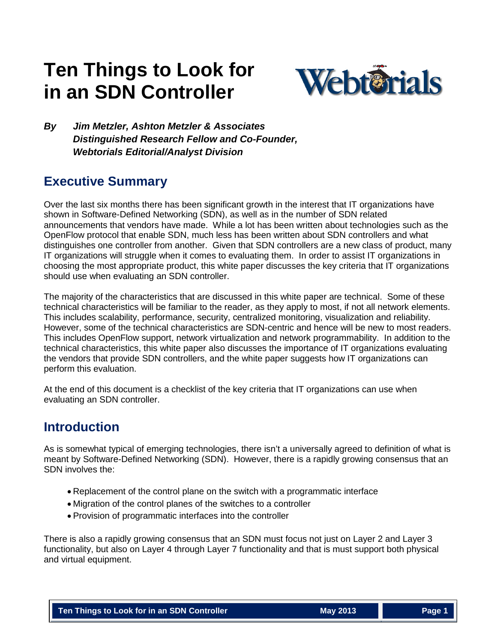# **Ten Things to Look for in an SDN Controller**



*By Jim Metzler, Ashton Metzler & Associates Distinguished Research Fellow and Co-Founder, Webtorials Editorial/Analyst Division*

# **Executive Summary**

Over the last six months there has been significant growth in the interest that IT organizations have shown in Software-Defined Networking (SDN), as well as in the number of SDN related announcements that vendors have made. While a lot has been written about technologies such as the OpenFlow protocol that enable SDN, much less has been written about SDN controllers and what distinguishes one controller from another. Given that SDN controllers are a new class of product, many IT organizations will struggle when it comes to evaluating them. In order to assist IT organizations in choosing the most appropriate product, this white paper discusses the key criteria that IT organizations should use when evaluating an SDN controller.

The majority of the characteristics that are discussed in this white paper are technical. Some of these technical characteristics will be familiar to the reader, as they apply to most, if not all network elements. This includes scalability, performance, security, centralized monitoring, visualization and reliability. However, some of the technical characteristics are SDN-centric and hence will be new to most readers. This includes OpenFlow support, network virtualization and network programmability. In addition to the technical characteristics, this white paper also discusses the importance of IT organizations evaluating the vendors that provide SDN controllers, and the white paper suggests how IT organizations can perform this evaluation.

At the end of this document is a checklist of the key criteria that IT organizations can use when evaluating an SDN controller.

## **Introduction**

As is somewhat typical of emerging technologies, there isn't a universally agreed to definition of what is meant by Software-Defined Networking (SDN). However, there is a rapidly growing consensus that an SDN involves the:

- Replacement of the control plane on the switch with a programmatic interface
- Migration of the control planes of the switches to a controller
- Provision of programmatic interfaces into the controller

There is also a rapidly growing consensus that an SDN must focus not just on Layer 2 and Layer 3 functionality, but also on Layer 4 through Layer 7 functionality and that is must support both physical and virtual equipment.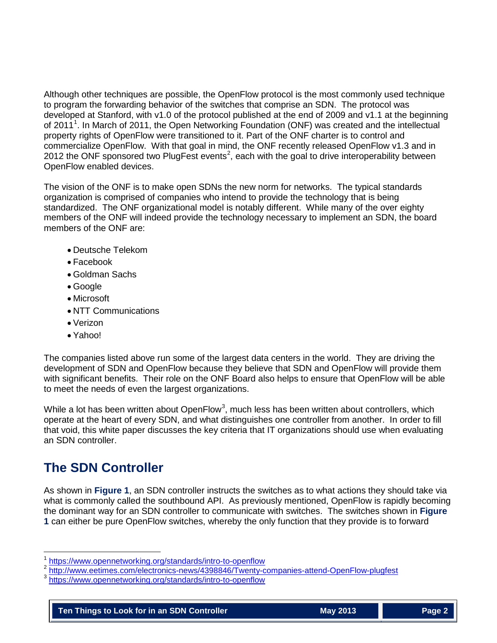Although other techniques are possible, the OpenFlow protocol is the most commonly used technique to program the forwarding behavior of the switches that comprise an SDN. The protocol was developed at Stanford, with v1.0 of the protocol published at the end of 2009 and v1.1 at the beginning of 20[1](#page-1-0)1<sup>1</sup>. In March of 2011, the Open Networking Foundation (ONF) was created and the intellectual property rights of OpenFlow were transitioned to it. Part of the ONF charter is to control and commercialize OpenFlow. With that goal in mind, the ONF recently released OpenFlow v1.3 and in [2](#page-1-1)012 the ONF sponsored two PlugFest events<sup>2</sup>, each with the goal to drive interoperability between OpenFlow enabled devices.

The vision of the ONF is to make open SDNs the new norm for networks. The typical standards organization is comprised of companies who intend to provide the technology that is being standardized. The ONF organizational model is notably different. While many of the over eighty members of the ONF will indeed provide the technology necessary to implement an SDN, the board members of the ONF are:

- Deutsche Telekom
- Facebook
- Goldman Sachs
- Google
- Microsoft
- NTT Communications
- Verizon
- Yahoo!

The companies listed above run some of the largest data centers in the world. They are driving the development of SDN and OpenFlow because they believe that SDN and OpenFlow will provide them with significant benefits. Their role on the ONF Board also helps to ensure that OpenFlow will be able to meet the needs of even the largest organizations.

While a lot has been written about OpenFlow<sup>[3](#page-1-2)</sup>, much less has been written about controllers, which operate at the heart of every SDN, and what distinguishes one controller from another. In order to fill that void, this white paper discusses the key criteria that IT organizations should use when evaluating an SDN controller.

# **The SDN Controller**

As shown in **[Figure 1](#page-2-0)**, an SDN controller instructs the switches as to what actions they should take via what is commonly called the southbound API. As previously mentioned, OpenFlow is rapidly becoming the dominant way for an SDN controller to communicate with switches. The switches shown in **[Figure](#page-2-0)  [1](#page-2-0)** can either be pure OpenFlow switches, whereby the only function that they provide is to forward

<span id="page-1-1"></span><span id="page-1-0"></span><https://www.opennetworking.org/standards/intro-to-openflow><br><http://www.eetimes.com/electronics-news/4398846/Twenty-companies-attend-OpenFlow-plugfest><br>https://www.opennetworking.org/standards/intro-to-openflow

<span id="page-1-2"></span>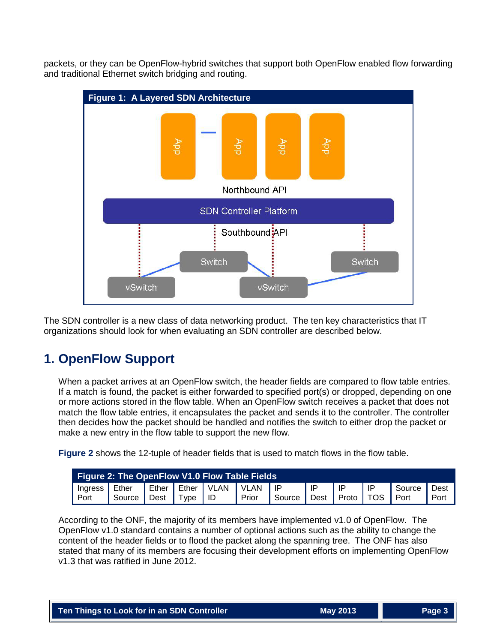packets, or they can be OpenFlow-hybrid switches that support both OpenFlow enabled flow forwarding and traditional Ethernet switch bridging and routing.

<span id="page-2-0"></span>

The SDN controller is a new class of data networking product. The ten key characteristics that IT organizations should look for when evaluating an SDN controller are described below.

# **1. OpenFlow Support**

When a packet arrives at an OpenFlow switch, the header fields are compared to flow table entries. If a match is found, the packet is either forwarded to specified port(s) or dropped, depending on one or more actions stored in the flow table. When an OpenFlow switch receives a packet that does not match the flow table entries, it encapsulates the packet and sends it to the controller. The controller then decides how the packet should be handled and notifies the switch to either drop the packet or make a new entry in the flow table to support the new flow.

**[Figure 2](#page-2-1)** shows the 12-tuple of header fields that is used to match flows in the flow table.

<span id="page-2-1"></span>

| <b>Figure 2: The OpenFlow V1.0 Flow Table Fields</b> |        |      |             |  |                                  |        |    |                      |      |        |      |
|------------------------------------------------------|--------|------|-------------|--|----------------------------------|--------|----|----------------------|------|--------|------|
| Ingress                                              | Ether  |      |             |  | Ether   Ether   VLAN   VLAN   IP |        | ID | IP                   | l IP | Source | Dest |
| Port                                                 | Source | Dest | I Type I ID |  | Prior                            | Source |    | I Dest   Proto   TOS |      | I Port | Port |

According to the ONF, the majority of its members have implemented v1.0 of OpenFlow. The OpenFlow v1.0 standard contains a number of optional actions such as the ability to change the content of the header fields or to flood the packet along the spanning tree. The ONF has also stated that many of its members are focusing their development efforts on implementing OpenFlow v1.3 that was ratified in June 2012.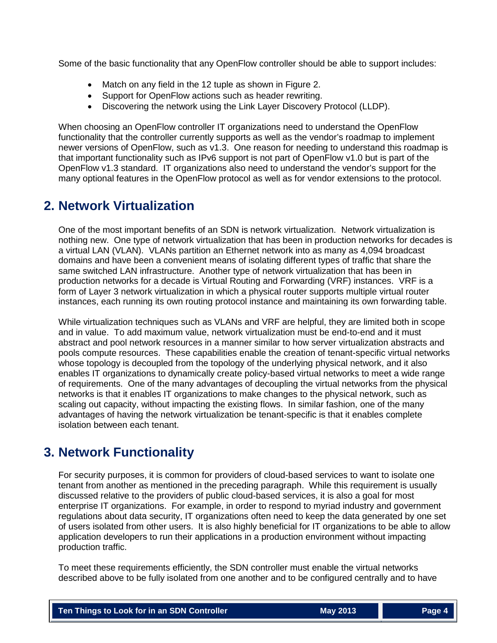Some of the basic functionality that any OpenFlow controller should be able to support includes:

- Match on any field in the 12 tuple as shown in [Figure 2.](#page-2-1)
- Support for OpenFlow actions such as header rewriting.
- Discovering the network using the Link Layer Discovery Protocol (LLDP).

When choosing an OpenFlow controller IT organizations need to understand the OpenFlow functionality that the controller currently supports as well as the vendor's roadmap to implement newer versions of OpenFlow, such as v1.3. One reason for needing to understand this roadmap is that important functionality such as IPv6 support is not part of OpenFlow v1.0 but is part of the OpenFlow v1.3 standard. IT organizations also need to understand the vendor's support for the many optional features in the OpenFlow protocol as well as for vendor extensions to the protocol.

### **2. Network Virtualization**

One of the most important benefits of an SDN is network virtualization. Network virtualization is nothing new. One type of network virtualization that has been in production networks for decades is a virtual LAN (VLAN). VLANs partition an Ethernet network into as many as 4,094 broadcast domains and have been a convenient means of isolating different types of traffic that share the same switched LAN infrastructure. Another type of network virtualization that has been in production networks for a decade is Virtual Routing and Forwarding (VRF) instances. VRF is a form of Layer 3 network virtualization in which a physical router supports multiple virtual router instances, each running its own routing protocol instance and maintaining its own forwarding table.

While virtualization techniques such as VLANs and VRF are helpful, they are limited both in scope and in value. To add maximum value, network virtualization must be end-to-end and it must abstract and pool network resources in a manner similar to how server virtualization abstracts and pools compute resources. These capabilities enable the creation of tenant-specific virtual networks whose topology is decoupled from the topology of the underlying physical network, and it also enables IT organizations to dynamically create policy-based virtual networks to meet a wide range of requirements. One of the many advantages of decoupling the virtual networks from the physical networks is that it enables IT organizations to make changes to the physical network, such as scaling out capacity, without impacting the existing flows. In similar fashion, one of the many advantages of having the network virtualization be tenant-specific is that it enables complete isolation between each tenant.

# **3. Network Functionality**

For security purposes, it is common for providers of cloud-based services to want to isolate one tenant from another as mentioned in the preceding paragraph. While this requirement is usually discussed relative to the providers of public cloud-based services, it is also a goal for most enterprise IT organizations. For example, in order to respond to myriad industry and government regulations about data security, IT organizations often need to keep the data generated by one set of users isolated from other users. It is also highly beneficial for IT organizations to be able to allow application developers to run their applications in a production environment without impacting production traffic.

To meet these requirements efficiently, the SDN controller must enable the virtual networks described above to be fully isolated from one another and to be configured centrally and to have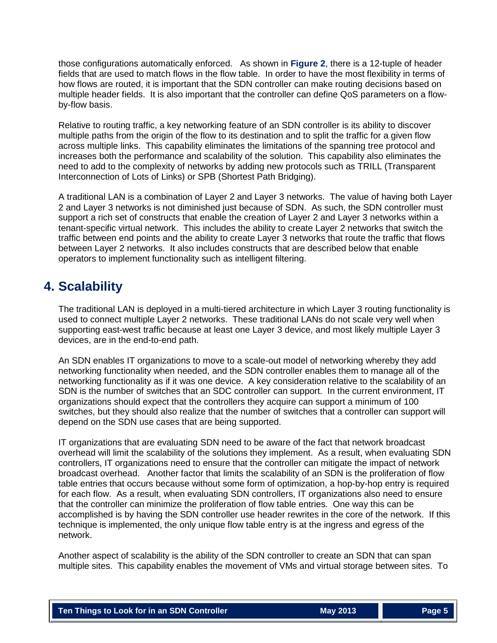those configurations automatically enforced. As shown in **[Figure 2](#page-2-1)**, there is a 12-tuple of header fields that are used to match flows in the flow table. In order to have the most flexibility in terms of how flows are routed, it is important that the SDN controller can make routing decisions based on multiple header fields. It is also important that the controller can define QoS parameters on a flowby-flow basis.

Relative to routing traffic, a key networking feature of an SDN controller is its ability to discover multiple paths from the origin of the flow to its destination and to split the traffic for a given flow across multiple links. This capability eliminates the limitations of the spanning tree protocol and increases both the performance and scalability of the solution. This capability also eliminates the need to add to the complexity of networks by adding new protocols such as TRILL (Transparent Interconnection of Lots of Links) or SPB (Shortest Path Bridging).

A traditional LAN is a combination of Layer 2 and Layer 3 networks. The value of having both Layer 2 and Layer 3 networks is not diminished just because of SDN. As such, the SDN controller must support a rich set of constructs that enable the creation of Layer 2 and Layer 3 networks within a tenant-specific virtual network. This includes the ability to create Layer 2 networks that switch the traffic between end points and the ability to create Layer 3 networks that route the traffic that flows between Layer 2 networks. It also includes constructs that are described below that enable operators to implement functionality such as intelligent filtering.

# **4. Scalability**

The traditional LAN is deployed in a multi-tiered architecture in which Layer 3 routing functionality is used to connect multiple Layer 2 networks. These traditional LANs do not scale very well when supporting east-west traffic because at least one Layer 3 device, and most likely multiple Layer 3 devices, are in the end-to-end path.

An SDN enables IT organizations to move to a scale-out model of networking whereby they add networking functionality when needed, and the SDN controller enables them to manage all of the networking functionality as if it was one device. A key consideration relative to the scalability of an SDN is the number of switches that an SDC controller can support. In the current environment, IT organizations should expect that the controllers they acquire can support a minimum of 100 switches, but they should also realize that the number of switches that a controller can support will depend on the SDN use cases that are being supported.

IT organizations that are evaluating SDN need to be aware of the fact that network broadcast overhead will limit the scalability of the solutions they implement. As a result, when evaluating SDN controllers, IT organizations need to ensure that the controller can mitigate the impact of network broadcast overhead. Another factor that limits the scalability of an SDN is the proliferation of flow table entries that occurs because without some form of optimization, a hop-by-hop entry is required for each flow. As a result, when evaluating SDN controllers, IT organizations also need to ensure that the controller can minimize the proliferation of flow table entries. One way this can be accomplished is by having the SDN controller use header rewrites in the core of the network. If this technique is implemented, the only unique flow table entry is at the ingress and egress of the network.

Another aspect of scalability is the ability of the SDN controller to create an SDN that can span multiple sites. This capability enables the movement of VMs and virtual storage between sites. To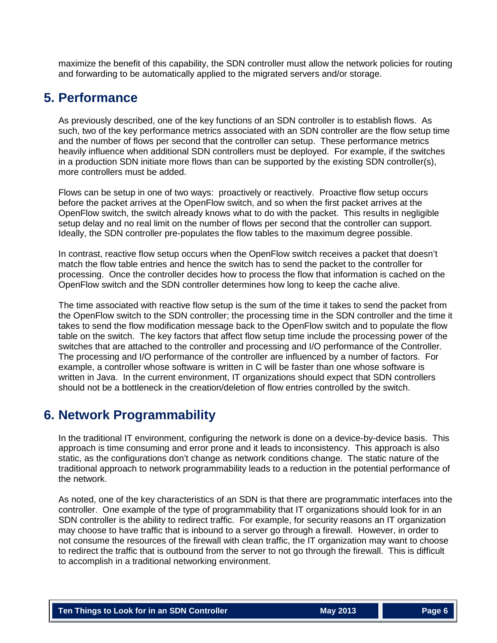maximize the benefit of this capability, the SDN controller must allow the network policies for routing and forwarding to be automatically applied to the migrated servers and/or storage.

### **5. Performance**

As previously described, one of the key functions of an SDN controller is to establish flows. As such, two of the key performance metrics associated with an SDN controller are the flow setup time and the number of flows per second that the controller can setup. These performance metrics heavily influence when additional SDN controllers must be deployed. For example, if the switches in a production SDN initiate more flows than can be supported by the existing SDN controller(s), more controllers must be added.

Flows can be setup in one of two ways: proactively or reactively. Proactive flow setup occurs before the packet arrives at the OpenFlow switch, and so when the first packet arrives at the OpenFlow switch, the switch already knows what to do with the packet. This results in negligible setup delay and no real limit on the number of flows per second that the controller can support. Ideally, the SDN controller pre-populates the flow tables to the maximum degree possible.

In contrast, reactive flow setup occurs when the OpenFlow switch receives a packet that doesn't match the flow table entries and hence the switch has to send the packet to the controller for processing. Once the controller decides how to process the flow that information is cached on the OpenFlow switch and the SDN controller determines how long to keep the cache alive.

The time associated with reactive flow setup is the sum of the time it takes to send the packet from the OpenFlow switch to the SDN controller; the processing time in the SDN controller and the time it takes to send the flow modification message back to the OpenFlow switch and to populate the flow table on the switch. The key factors that affect flow setup time include the processing power of the switches that are attached to the controller and processing and I/O performance of the Controller. The processing and I/O performance of the controller are influenced by a number of factors. For example, a controller whose software is written in C will be faster than one whose software is written in Java. In the current environment, IT organizations should expect that SDN controllers should not be a bottleneck in the creation/deletion of flow entries controlled by the switch.

### **6. Network Programmability**

In the traditional IT environment, configuring the network is done on a device-by-device basis. This approach is time consuming and error prone and it leads to inconsistency. This approach is also static, as the configurations don't change as network conditions change. The static nature of the traditional approach to network programmability leads to a reduction in the potential performance of the network.

As noted, one of the key characteristics of an SDN is that there are programmatic interfaces into the controller. One example of the type of programmability that IT organizations should look for in an SDN controller is the ability to redirect traffic. For example, for security reasons an IT organization may choose to have traffic that is inbound to a server go through a firewall. However, in order to not consume the resources of the firewall with clean traffic, the IT organization may want to choose to redirect the traffic that is outbound from the server to not go through the firewall. This is difficult to accomplish in a traditional networking environment.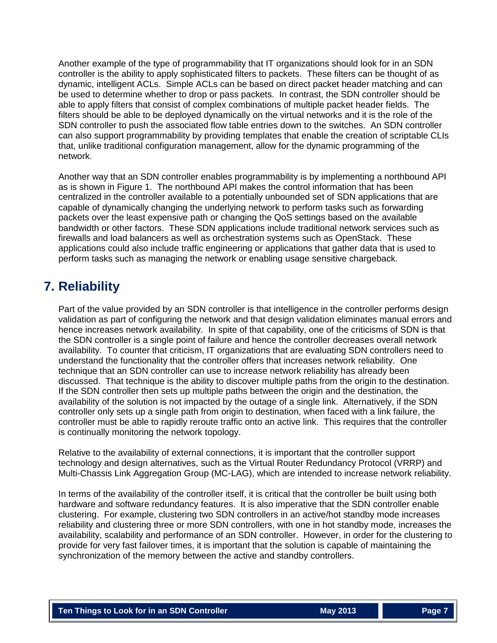Another example of the type of programmability that IT organizations should look for in an SDN controller is the ability to apply sophisticated filters to packets. These filters can be thought of as dynamic, intelligent ACLs. Simple ACLs can be based on direct packet header matching and can be used to determine whether to drop or pass packets. In contrast, the SDN controller should be able to apply filters that consist of complex combinations of multiple packet header fields. The filters should be able to be deployed dynamically on the virtual networks and it is the role of the SDN controller to push the associated flow table entries down to the switches. An SDN controller can also support programmability by providing templates that enable the creation of scriptable CLIs that, unlike traditional configuration management, allow for the dynamic programming of the network.

Another way that an SDN controller enables programmability is by implementing a northbound API as is shown in Figure 1. The northbound API makes the control information that has been centralized in the controller available to a potentially unbounded set of SDN applications that are capable of dynamically changing the underlying network to perform tasks such as forwarding packets over the least expensive path or changing the QoS settings based on the available bandwidth or other factors. These SDN applications include traditional network services such as firewalls and load balancers as well as orchestration systems such as OpenStack. These applications could also include traffic engineering or applications that gather data that is used to perform tasks such as managing the network or enabling usage sensitive chargeback.

## **7. Reliability**

Part of the value provided by an SDN controller is that intelligence in the controller performs design validation as part of configuring the network and that design validation eliminates manual errors and hence increases network availability. In spite of that capability, one of the criticisms of SDN is that the SDN controller is a single point of failure and hence the controller decreases overall network availability. To counter that criticism, IT organizations that are evaluating SDN controllers need to understand the functionality that the controller offers that increases network reliability. One technique that an SDN controller can use to increase network reliability has already been discussed. That technique is the ability to discover multiple paths from the origin to the destination. If the SDN controller then sets up multiple paths between the origin and the destination, the availability of the solution is not impacted by the outage of a single link. Alternatively, if the SDN controller only sets up a single path from origin to destination, when faced with a link failure, the controller must be able to rapidly reroute traffic onto an active link. This requires that the controller is continually monitoring the network topology.

Relative to the availability of external connections, it is important that the controller support technology and design alternatives, such as the Virtual Router Redundancy Protocol (VRRP) and Multi-Chassis Link Aggregation Group (MC-LAG), which are intended to increase network reliability.

In terms of the availability of the controller itself, it is critical that the controller be built using both hardware and software redundancy features. It is also imperative that the SDN controller enable clustering. For example, clustering two SDN controllers in an active/hot standby mode increases reliability and clustering three or more SDN controllers, with one in hot standby mode, increases the availability, scalability and performance of an SDN controller. However, in order for the clustering to provide for very fast failover times, it is important that the solution is capable of maintaining the synchronization of the memory between the active and standby controllers.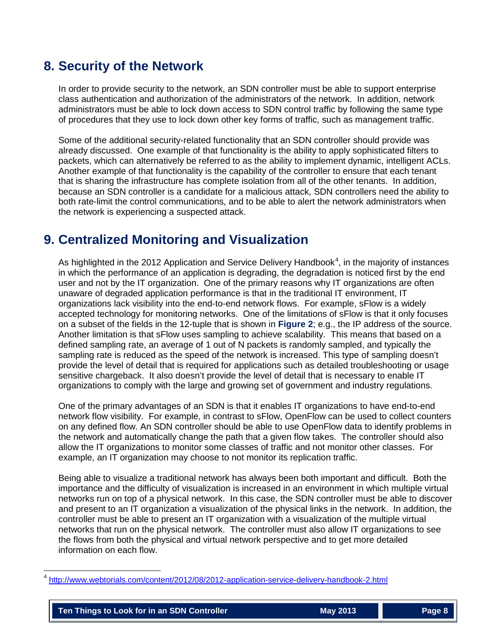## **8. Security of the Network**

In order to provide security to the network, an SDN controller must be able to support enterprise class authentication and authorization of the administrators of the network. In addition, network administrators must be able to lock down access to SDN control traffic by following the same type of procedures that they use to lock down other key forms of traffic, such as management traffic.

Some of the additional security-related functionality that an SDN controller should provide was already discussed. One example of that functionality is the ability to apply sophisticated filters to packets, which can alternatively be referred to as the ability to implement dynamic, intelligent ACLs. Another example of that functionality is the capability of the controller to ensure that each tenant that is sharing the infrastructure has complete isolation from all of the other tenants. In addition, because an SDN controller is a candidate for a malicious attack, SDN controllers need the ability to both rate-limit the control communications, and to be able to alert the network administrators when the network is experiencing a suspected attack.

## **9. Centralized Monitoring and Visualization**

As highlighted in the 2012 Application and Service Delivery Handbook<sup>[4](#page-7-0)</sup>, in the majority of instances in which the performance of an application is degrading, the degradation is noticed first by the end user and not by the IT organization. One of the primary reasons why IT organizations are often unaware of degraded application performance is that in the traditional IT environment, IT organizations lack visibility into the end-to-end network flows. For example, sFlow is a widely accepted technology for monitoring networks. One of the limitations of sFlow is that it only focuses on a subset of the fields in the 12-tuple that is shown in **[Figure 2](#page-2-1)**; e.g., the IP address of the source. Another limitation is that sFlow uses sampling to achieve scalability. This means that based on a defined sampling rate, an average of 1 out of N packets is randomly sampled, and typically the sampling rate is reduced as the speed of the network is increased. This type of sampling doesn't provide the level of detail that is required for applications such as detailed troubleshooting or usage sensitive chargeback. It also doesn't provide the level of detail that is necessary to enable IT organizations to comply with the large and growing set of government and industry regulations.

One of the primary advantages of an SDN is that it enables IT organizations to have end-to-end network flow visibility. For example, in contrast to sFlow, OpenFlow can be used to collect counters on any defined flow. An SDN controller should be able to use OpenFlow data to identify problems in the network and automatically change the path that a given flow takes. The controller should also allow the IT organizations to monitor some classes of traffic and not monitor other classes. For example, an IT organization may choose to not monitor its replication traffic.

Being able to visualize a traditional network has always been both important and difficult. Both the importance and the difficulty of visualization is increased in an environment in which multiple virtual networks run on top of a physical network. In this case, the SDN controller must be able to discover and present to an IT organization a visualization of the physical links in the network. In addition, the controller must be able to present an IT organization with a visualization of the multiple virtual networks that run on the physical network. The controller must also allow IT organizations to see the flows from both the physical and virtual network perspective and to get more detailed information on each flow.

<span id="page-7-0"></span> <sup>4</sup> <http://www.webtorials.com/content/2012/08/2012-application-service-delivery-handbook-2.html>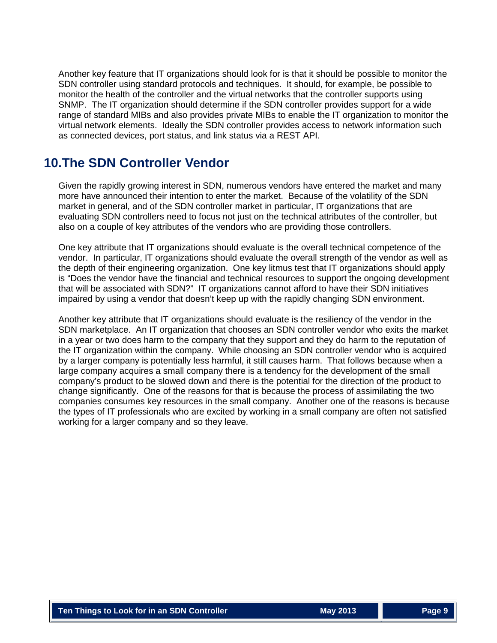Another key feature that IT organizations should look for is that it should be possible to monitor the SDN controller using standard protocols and techniques. It should, for example, be possible to monitor the health of the controller and the virtual networks that the controller supports using SNMP. The IT organization should determine if the SDN controller provides support for a wide range of standard MIBs and also provides private MIBs to enable the IT organization to monitor the virtual network elements. Ideally the SDN controller provides access to network information such as connected devices, port status, and link status via a REST API.

### **10.The SDN Controller Vendor**

Given the rapidly growing interest in SDN, numerous vendors have entered the market and many more have announced their intention to enter the market. Because of the volatility of the SDN market in general, and of the SDN controller market in particular, IT organizations that are evaluating SDN controllers need to focus not just on the technical attributes of the controller, but also on a couple of key attributes of the vendors who are providing those controllers.

One key attribute that IT organizations should evaluate is the overall technical competence of the vendor. In particular, IT organizations should evaluate the overall strength of the vendor as well as the depth of their engineering organization. One key litmus test that IT organizations should apply is "Does the vendor have the financial and technical resources to support the ongoing development that will be associated with SDN?" IT organizations cannot afford to have their SDN initiatives impaired by using a vendor that doesn't keep up with the rapidly changing SDN environment.

Another key attribute that IT organizations should evaluate is the resiliency of the vendor in the SDN marketplace. An IT organization that chooses an SDN controller vendor who exits the market in a year or two does harm to the company that they support and they do harm to the reputation of the IT organization within the company. While choosing an SDN controller vendor who is acquired by a larger company is potentially less harmful, it still causes harm. That follows because when a large company acquires a small company there is a tendency for the development of the small company's product to be slowed down and there is the potential for the direction of the product to change significantly. One of the reasons for that is because the process of assimilating the two companies consumes key resources in the small company. Another one of the reasons is because the types of IT professionals who are excited by working in a small company are often not satisfied working for a larger company and so they leave.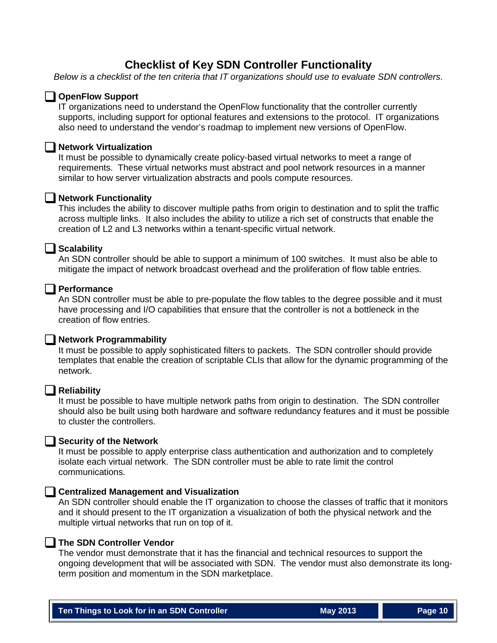### **Checklist of Key SDN Controller Functionality**

*Below is a checklist of the ten criteria that IT organizations should use to evaluate SDN controllers*.

#### **OpenFlow Support**

IT organizations need to understand the OpenFlow functionality that the controller currently supports, including support for optional features and extensions to the protocol. IT organizations also need to understand the vendor's roadmap to implement new versions of OpenFlow.

#### **Network Virtualization**

It must be possible to dynamically create policy-based virtual networks to meet a range of requirements. These virtual networks must abstract and pool network resources in a manner similar to how server virtualization abstracts and pools compute resources.

#### **Network Functionality**

This includes the ability to discover multiple paths from origin to destination and to split the traffic across multiple links. It also includes the ability to utilize a rich set of constructs that enable the creation of L2 and L3 networks within a tenant-specific virtual network.

#### **Scalability**

An SDN controller should be able to support a minimum of 100 switches. It must also be able to mitigate the impact of network broadcast overhead and the proliferation of flow table entries.

#### **Performance**

An SDN controller must be able to pre-populate the flow tables to the degree possible and it must have processing and I/O capabilities that ensure that the controller is not a bottleneck in the creation of flow entries.

#### **Network Programmability**

It must be possible to apply sophisticated filters to packets. The SDN controller should provide templates that enable the creation of scriptable CLIs that allow for the dynamic programming of the network.

#### **Reliability**

It must be possible to have multiple network paths from origin to destination. The SDN controller should also be built using both hardware and software redundancy features and it must be possible to cluster the controllers.

#### **Security of the Network**

It must be possible to apply enterprise class authentication and authorization and to completely isolate each virtual network. The SDN controller must be able to rate limit the control communications.

#### **Centralized Management and Visualization**

An SDN controller should enable the IT organization to choose the classes of traffic that it monitors and it should present to the IT organization a visualization of both the physical network and the multiple virtual networks that run on top of it.

#### **The SDN Controller Vendor**

The vendor must demonstrate that it has the financial and technical resources to support the ongoing development that will be associated with SDN. The vendor must also demonstrate its longterm position and momentum in the SDN marketplace.